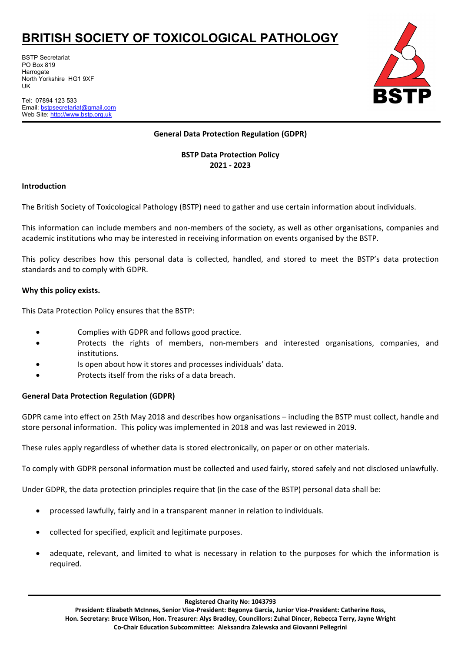BSTP Secretariat PO Box 819 Harrogate North Yorkshire HG1 9XF UK

Tel: 07894 123 533 Email: [bstpsecretariat@gmail.com](mailto:bstpsecretariat@gmail.com) Web Site: http://www.bstp.org.uk



### **General Data Protection Regulation (GDPR)**

**BSTP Data Protection Policy 2021 - 2023**

### **Introduction**

The British Society of Toxicological Pathology (BSTP) need to gather and use certain information about individuals.

This information can include members and non-members of the society, as well as other organisations, companies and academic institutions who may be interested in receiving information on events organised by the BSTP.

This policy describes how this personal data is collected, handled, and stored to meet the BSTP's data protection standards and to comply with GDPR.

### **Why this policy exists.**

This Data Protection Policy ensures that the BSTP:

- Complies with GDPR and follows good practice.
- Protects the rights of members, non-members and interested organisations, companies, and institutions.
- Is open about how it stores and processes individuals' data.
- Protects itself from the risks of a data breach.

### **General Data Protection Regulation (GDPR)**

GDPR came into effect on 25th May 2018 and describes how organisations – including the BSTP must collect, handle and store personal information. This policy was implemented in 2018 and was last reviewed in 2019.

These rules apply regardless of whether data is stored electronically, on paper or on other materials.

To comply with GDPR personal information must be collected and used fairly, stored safely and not disclosed unlawfully.

Under GDPR, the data protection principles require that (in the case of the BSTP) personal data shall be:

- processed lawfully, fairly and in a transparent manner in relation to individuals.
- collected for specified, explicit and legitimate purposes.
- adequate, relevant, and limited to what is necessary in relation to the purposes for which the information is required.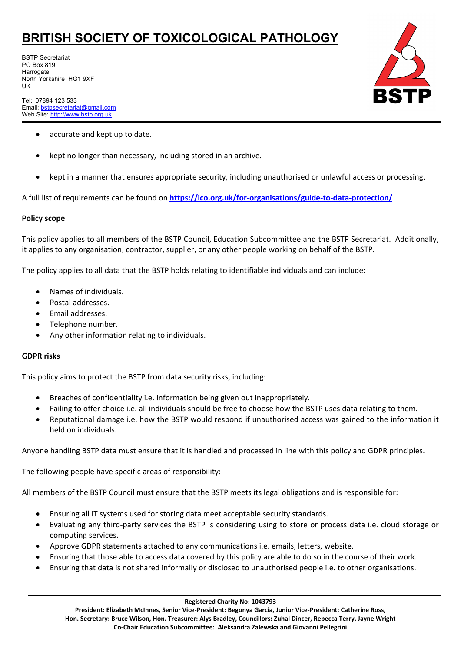BSTP Secretariat PO Box 819 **Harrogate** North Yorkshire HG1 9XF UK

Tel: 07894 123 533 Email: [bstpsecretariat@gmail.com](mailto:bstpsecretariat@gmail.com) Web Site: http://www.bstp.org.uk



- accurate and kept up to date.
- kept no longer than necessary, including stored in an archive.
- kept in a manner that ensures appropriate security, including unauthorised or unlawful access or processing.

A full list of requirements can be found on **<https://ico.org.uk/for-organisations/guide-to-data-protection/>**

#### **Policy scope**

This policy applies to all members of the BSTP Council, Education Subcommittee and the BSTP Secretariat. Additionally, it applies to any organisation, contractor, supplier, or any other people working on behalf of the BSTP.

The policy applies to all data that the BSTP holds relating to identifiable individuals and can include:

- Names of individuals.
- Postal addresses.
- Email addresses.
- Telephone number.
- Any other information relating to individuals.

#### **GDPR risks**

This policy aims to protect the BSTP from data security risks, including:

- Breaches of confidentiality i.e. information being given out inappropriately.
- Failing to offer choice i.e. all individuals should be free to choose how the BSTP uses data relating to them.
- Reputational damage i.e. how the BSTP would respond if unauthorised access was gained to the information it held on individuals.

Anyone handling BSTP data must ensure that it is handled and processed in line with this policy and GDPR principles.

The following people have specific areas of responsibility:

All members of the BSTP Council must ensure that the BSTP meets its legal obligations and is responsible for:

- Ensuring all IT systems used for storing data meet acceptable security standards.
- Evaluating any third-party services the BSTP is considering using to store or process data i.e. cloud storage or computing services.
- Approve GDPR statements attached to any communications i.e. emails, letters, website.
- Ensuring that those able to access data covered by this policy are able to do so in the course of their work.
- Ensuring that data is not shared informally or disclosed to unauthorised people i.e. to other organisations.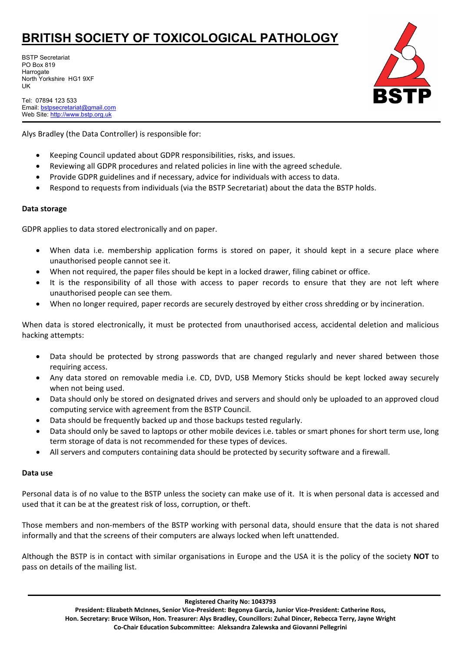BSTP Secretariat PO Box 819 **Harrogate** North Yorkshire HG1 9XF UK

Tel: 07894 123 533 Email: [bstpsecretariat@gmail.com](mailto:bstpsecretariat@gmail.com) Web Site: http://www.bstp.org.uk

## Alys Bradley (the Data Controller) is responsible for:

- Keeping Council updated about GDPR responsibilities, risks, and issues.
- Reviewing all GDPR procedures and related policies in line with the agreed schedule.
- Provide GDPR guidelines and if necessary, advice for individuals with access to data.
- Respond to requests from individuals (via the BSTP Secretariat) about the data the BSTP holds.

### **Data storage**

GDPR applies to data stored electronically and on paper.

- When data i.e. membership application forms is stored on paper, it should kept in a secure place where unauthorised people cannot see it.
- When not required, the paper files should be kept in a locked drawer, filing cabinet or office.
- It is the responsibility of all those with access to paper records to ensure that they are not left where unauthorised people can see them.
- When no longer required, paper records are securely destroyed by either cross shredding or by incineration.

When data is stored electronically, it must be protected from unauthorised access, accidental deletion and malicious hacking attempts:

- Data should be protected by strong passwords that are changed regularly and never shared between those requiring access.
- Any data stored on removable media i.e. CD, DVD, USB Memory Sticks should be kept locked away securely when not being used.
- Data should only be stored on designated drives and servers and should only be uploaded to an approved cloud computing service with agreement from the BSTP Council.
- Data should be frequently backed up and those backups tested regularly.
- Data should only be saved to laptops or other mobile devices i.e. tables or smart phones for short term use, long term storage of data is not recommended for these types of devices.
- All servers and computers containing data should be protected by security software and a firewall.

### **Data use**

Personal data is of no value to the BSTP unless the society can make use of it. It is when personal data is accessed and used that it can be at the greatest risk of loss, corruption, or theft.

Those members and non-members of the BSTP working with personal data, should ensure that the data is not shared informally and that the screens of their computers are always locked when left unattended.

Although the BSTP is in contact with similar organisations in Europe and the USA it is the policy of the society **NOT** to pass on details of the mailing list.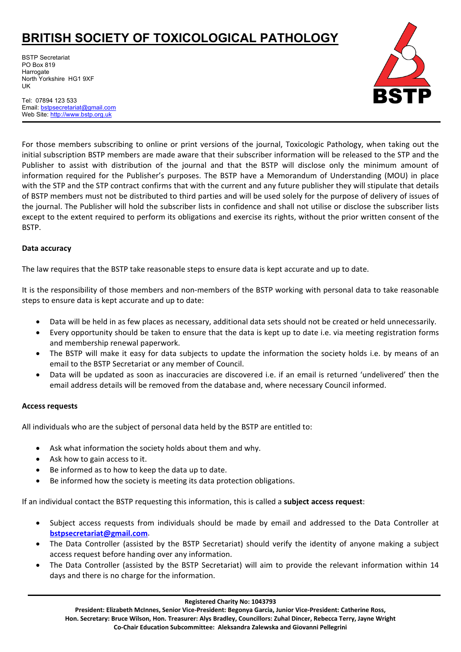BSTP Secretariat PO Box 819 **Harrogate** North Yorkshire HG1 9XF UK



Tel: 07894 123 533 Email: [bstpsecretariat@gmail.com](mailto:bstpsecretariat@gmail.com) Web Site: http://www.bstp.org.uk

For those members subscribing to online or print versions of the journal, Toxicologic Pathology, when taking out the initial subscription BSTP members are made aware that their subscriber information will be released to the STP and the Publisher to assist with distribution of the journal and that the BSTP will disclose only the minimum amount of information required for the Publisher's purposes. The BSTP have a Memorandum of Understanding (MOU) in place with the STP and the STP contract confirms that with the current and any future publisher they will stipulate that details of BSTP members must not be distributed to third parties and will be used solely for the purpose of delivery of issues of the journal. The Publisher will hold the subscriber lists in confidence and shall not utilise or disclose the subscriber lists except to the extent required to perform its obligations and exercise its rights, without the prior written consent of the BSTP.

#### **Data accuracy**

The law requires that the BSTP take reasonable steps to ensure data is kept accurate and up to date.

It is the responsibility of those members and non-members of the BSTP working with personal data to take reasonable steps to ensure data is kept accurate and up to date:

- Data will be held in as few places as necessary, additional data sets should not be created or held unnecessarily.
- Every opportunity should be taken to ensure that the data is kept up to date i.e. via meeting registration forms and membership renewal paperwork.
- The BSTP will make it easy for data subjects to update the information the society holds i.e. by means of an email to the BSTP Secretariat or any member of Council.
- Data will be updated as soon as inaccuracies are discovered i.e. if an email is returned 'undelivered' then the email address details will be removed from the database and, where necessary Council informed.

#### **Access requests**

All individuals who are the subject of personal data held by the BSTP are entitled to:

- Ask what information the society holds about them and why.
- Ask how to gain access to it.
- Be informed as to how to keep the data up to date.
- Be informed how the society is meeting its data protection obligations.

If an individual contact the BSTP requesting this information, this is called a **subject access request**:

- Subject access requests from individuals should be made by email and addressed to the Data Controller at **[bstpsecretariat@gmail.com](mailto:bstpsecretariat@gmail.com)**.
- The Data Controller (assisted by the BSTP Secretariat) should verify the identity of anyone making a subject access request before handing over any information.
- The Data Controller (assisted by the BSTP Secretariat) will aim to provide the relevant information within 14 days and there is no charge for the information.